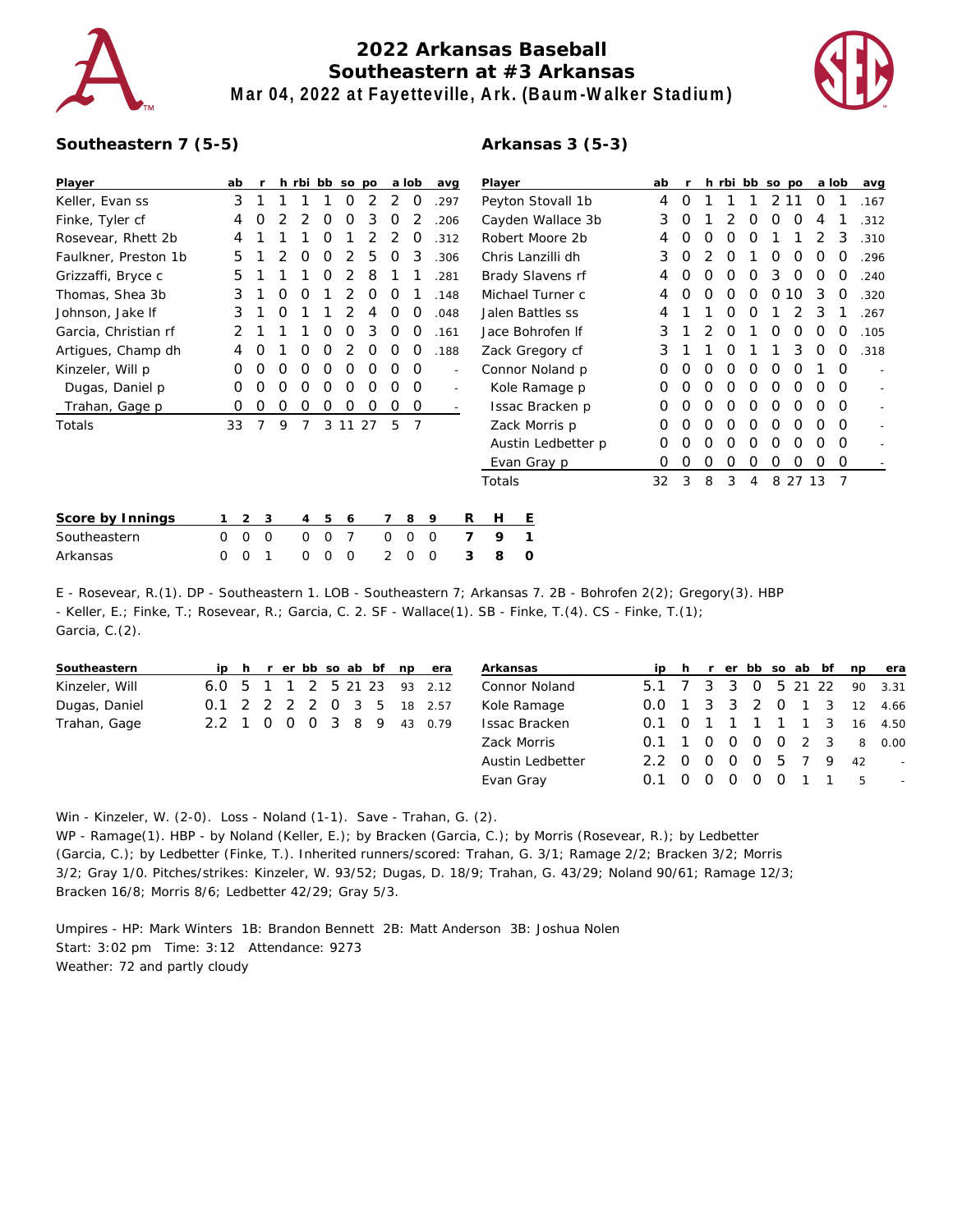

## **2022 Arkansas Baseball Southeastern at #3 Arkansas Mar 04, 2022 at Fayetteville, Ark. (Baum-Walker Stadium)**



## **Southeastern 7 (5-5)**

## **Arkansas 3 (5-3)**

| Player               | ab          |             |   | h rbi bb so po |          |          |          |          | a lob    |          | avg            | Player             |                  | ab       |          |   |          | h rbi bb so po |                |                  | a lob    |          | avg      |                          |
|----------------------|-------------|-------------|---|----------------|----------|----------|----------|----------|----------|----------|----------------|--------------------|------------------|----------|----------|---|----------|----------------|----------------|------------------|----------|----------|----------|--------------------------|
| Keller, Evan ss      | 3           |             |   |                |          | O        | 2        | 2        | 0        |          | .297           | Peyton Stovall 1b  |                  | 4        | $\Omega$ |   |          |                |                | 2 11             | O        |          | .167     |                          |
| Finke, Tyler cf      | 4           | Ο           |   |                | O        | 0        | 3        | O        |          |          | .206           | Cayden Wallace 3b  |                  | 3        | O        |   |          | O              | $\Omega$       | $\Omega$         | 4        |          | .312     |                          |
| Rosevear, Rhett 2b   | 4           |             |   |                | Ω        |          |          |          | O        |          | .312           | Robert Moore 2b    |                  | 4        |          |   |          |                |                |                  |          | 3        | .310     |                          |
| Faulkner, Preston 1b | 5           |             |   | O              | 0        | 2        | 5        | 0        | 3        |          | .306           | Chris Lanzilli dh  |                  | 3        | O        |   | O        |                | $\Omega$       | $\left( \right)$ | 0        | O        | .296     |                          |
| Grizzaffi, Bryce c   | 5           |             |   |                | 0        | 2        | 8        |          |          |          | .281           | Brady Slavens rf   |                  |          | $\Omega$ | O |          |                | 3              |                  |          |          | .240     |                          |
| Thomas, Shea 3b      | 3           |             | 0 | O              |          |          | Ο        | O        |          |          | .148           | Michael Turner c   |                  | 4        | O        | ∩ |          |                |                | 10               | 3        |          | .320     |                          |
| Johnson, Jake If     | 3           |             |   |                |          |          |          | O        | $\Omega$ |          | .048           |                    | Jalen Battles ss |          | 4        |   |          |                |                |                  |          | 3        |          | .267                     |
| Garcia, Christian rf | 2           |             |   |                | Ω        | Ω        | 3        | O        | O        |          | .161           | Jace Bohrofen If   |                  | 3        |          |   |          |                |                |                  |          | $\left($ | .105     |                          |
| Artigues, Champ dh   | 4           | O           |   | O              | O        |          | 0        | 0        | 0        |          | .188           | Zack Gregory cf    |                  | 3        |          |   | O        |                |                | 3                | $\Omega$ | $\Omega$ | .318     |                          |
| Kinzeler, Will p     | O           | O           | O | O              | O        | O        | O        | O        | O        |          | ٠              | Connor Noland p    |                  | $\Omega$ | O        | O | O        | O              | $\left($       |                  |          | $\Omega$ |          |                          |
| Dugas, Daniel p      | 0           | 0           | Ο | O              | O        | O        | $\Omega$ | O        | $\Omega$ |          | $\overline{a}$ | Kole Ramage p      |                  | $\Omega$ | O        | O |          |                |                |                  | ∩        | $\Omega$ |          |                          |
| Trahan, Gage p       | Ο           | Ω           | O | O              | 0        | 0        | 0        | 0        | 0        |          |                | Issac Bracken p    |                  |          | O        |   |          |                |                | $\left($         |          | O        | $\Omega$ | $\overline{\phantom{a}}$ |
| Totals               | 33          |             | 9 |                | 3        | 11       | 27       | 5        |          |          |                |                    | Zack Morris p    |          | O        |   |          |                |                |                  |          |          | $\Omega$ |                          |
|                      |             |             |   |                |          |          |          |          |          |          |                | Austin Ledbetter p |                  |          | O        | O | $\Omega$ | $\Omega$       | $\Omega$       | $\Omega$         | $\Omega$ | $\Omega$ | $\Omega$ |                          |
|                      |             |             |   |                |          |          |          |          |          |          |                | Evan Gray p        |                  |          | 0        | 0 | 0        | 0              | 0              | 0                | 0        | 0        | 0        |                          |
|                      |             |             |   |                |          |          |          |          |          |          |                | Totals             |                  |          | 32       | 3 | 8        | 3              | $\overline{4}$ |                  | 8 27 13  |          |          |                          |
| Score by Innings     |             | 2           | 3 | 4              | 5        | 6        |          |          | 8        | 9        | R              | H                  | Ε                |          |          |   |          |                |                |                  |          |          |          |                          |
| Southeastern         | $\mathbf 0$ | $\mathbf 0$ | 0 | 0              | $\Omega$ | 7        |          | $\Omega$ | $\Omega$ | $\Omega$ | 7              | 9                  |                  |          |          |   |          |                |                |                  |          |          |          |                          |
| Arkansas             | 0           | 0           |   | 0              | 0        | $\Omega$ |          | 2        | 0        | $\Omega$ | 3              | 8                  | 0                |          |          |   |          |                |                |                  |          |          |          |                          |

E - Rosevear, R.(1). DP - Southeastern 1. LOB - Southeastern 7; Arkansas 7. 2B - Bohrofen 2(2); Gregory(3). HBP - Keller, E.; Finke, T.; Rosevear, R.; Garcia, C. 2. SF - Wallace(1). SB - Finke, T.(4). CS - Finke, T.(1); Garcia, C.(2).

| Southeastern   |                           |  |  |  |  | ip h r er bb so ab bf np era |
|----------------|---------------------------|--|--|--|--|------------------------------|
| Kinzeler, Will |                           |  |  |  |  | 6.0 5 1 1 2 5 21 23 93 2.12  |
| Dugas, Daniel  | 0.1 2 2 2 2 0 3 5 18 2.57 |  |  |  |  |                              |
| Trahan, Gage   | 2.2 1 0 0 0 3 8 9 43 0.79 |  |  |  |  |                              |
|                |                           |  |  |  |  |                              |

| Arkansas         |                      |  |  |  |                     | ip h r er bb so ab bf np era |
|------------------|----------------------|--|--|--|---------------------|------------------------------|
| Connor Noland    |                      |  |  |  |                     | 5.1 7 3 3 0 5 21 22 90 3.31  |
| Kole Ramage      |                      |  |  |  |                     | 0.0 1 3 3 2 0 1 3 12 4.66    |
| Issac Bracken    |                      |  |  |  |                     | 0.1 0 1 1 1 1 1 3 16 4.50    |
| Zack Morris      |                      |  |  |  | 0.1 1 0 0 0 0 2 3 8 | 0.00                         |
| Austin Ledbetter | 2.2 0 0 0 0 5 7 9 42 |  |  |  |                     |                              |
| Evan Gray        | 0.1                  |  |  |  | 0 0 0 0 0 1 1 5     | $\sim$                       |
|                  |                      |  |  |  |                     |                              |

Win - Kinzeler, W. (2-0). Loss - Noland (1-1). Save - Trahan, G. (2).

WP - Ramage(1). HBP - by Noland (Keller, E.); by Bracken (Garcia, C.); by Morris (Rosevear, R.); by Ledbetter (Garcia, C.); by Ledbetter (Finke, T.). Inherited runners/scored: Trahan, G. 3/1; Ramage 2/2; Bracken 3/2; Morris 3/2; Gray 1/0. Pitches/strikes: Kinzeler, W. 93/52; Dugas, D. 18/9; Trahan, G. 43/29; Noland 90/61; Ramage 12/3; Bracken 16/8; Morris 8/6; Ledbetter 42/29; Gray 5/3.

Umpires - HP: Mark Winters 1B: Brandon Bennett 2B: Matt Anderson 3B: Joshua Nolen Start: 3:02 pm Time: 3:12 Attendance: 9273 Weather: 72 and partly cloudy